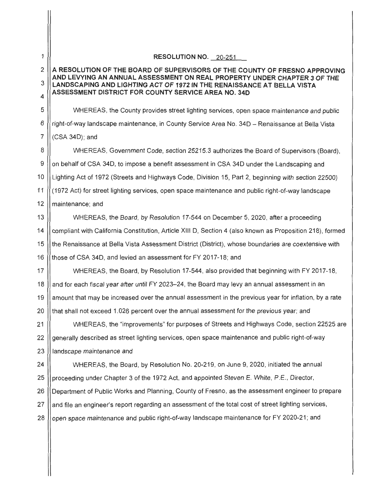1 2 3 4 5 6 7 8 9 10 11 12 13 14 15 16 17 18 19 20 21 22 23 24 25 26 27 **RESOLUTION NO.** 20-251 **A RESOLUTION OF THE BOARD OF SUPERVISORS OF THE COUNTY OF FRESNO APPROVING AND LEVYING AN ANNUAL ASSESSMENT ON REAL PROPERTY UNDER CHAPTER 3 OF THE LANDSCAPING AND LIGHTING ACT OF 1972 IN THE RENAISSANCE AT BELLA VISTA ASSESSMENT DISTRICT FOR COUNTY SERVICE AREA NO. 34D**  WHEREAS, the County provides street lighting services, open space maintenance and public right-of-way landscape maintenance, in County Service Area No. 34D - Renaissance at Bella Vista (CSA 34D); and WHEREAS, Government Code, section 25215.3 authorizes the Board of Supervisors (Board), on behalf of CSA 34D, to impose a benefit assessment in CSA 34D under the Landscaping and Lighting Act of 1972 (Streets and Highways Code, Division 15, Part 2, beginning with section 22500) ( 1972 Act) for street lighting services, open space maintenance and public right-of-way landscape maintenance; and WHEREAS, the Board, by Resolution 17-544 on December 5, 2020, after a proceeding compliant with California Constitution , Article XIII D, Section 4 (also known as Proposition 218), formed the Renaissance at Bella Vista Assessment District (District), whose boundaries are coextensive with those of CSA 34D, and levied an assessment for FY 2017-18; and WHEREAS, the Board, by Resolution 17-544, also provided that beginning with FY 2017-18, and for each fiscal year after until FY 2023-24, the Board may levy an annual assessment in an amount that may be increased over the annual assessment in the previous year for inflation, by a rate that shall not exceed 1.026 percent over the annual assessment for the previous year; and WHEREAS, the "improvements" for purposes of Streets and Highways Code, section 22525 are generally described as street lighting services, open space maintenance and public right-of-way landscape maintenance and WHEREAS, the Board, by Resolution No. 20-219, on June 9, 2020, initiated the annual proceeding under Chapter 3 of the 1972 Act, and appointed Steven E. White, P.E., Director, Department of Public Works and Planning, County of Fresno, as the assessment engineer to prepare and file an engineer's report regarding an assessment of the total cost of street lighting services, 28 | open space maintenance and public right-of-way landscape maintenance for FY 2020-21; and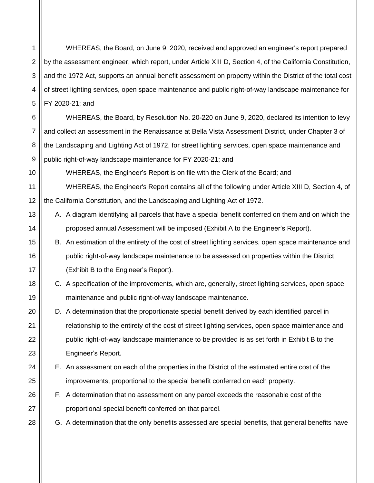1 WHEREAS, the Board, on June 9, 2020, received and approved an engineer's report prepared by the assessment engineer, which report, under Article XIII D, Section 4, of the California Constitution, and the 1972 Act, supports an annual benefit assessment on property within the District of the total cost of street lighting services, open space maintenance and public right-of-way landscape maintenance for FY 2020-21; and

WHEREAS, the Board, by Resolution No. 20-220 on June 9, 2020, declared its intention to levy and collect an assessment in the Renaissance at Bella Vista Assessment District, under Chapter 3 of the Landscaping and Lighting Act of 1972, for street lighting services, open space maintenance and public right-of-way landscape maintenance for FY 2020-21; and

WHEREAS, the Engineer's Report is on file with the Clerk of the Board; and

WHEREAS, the Engineer's Report contains all of the following under Article XIII D, Section 4, of the California Constitution, and the Landscaping and Lighting Act of 1972.

- A. A diagram identifying all parcels that have a special benefit conferred on them and on which the proposed annual Assessment will be imposed (Exhibit A to the Engineer's Report).
- B. An estimation of the entirety of the cost of street lighting services, open space maintenance and public right-of-way landscape maintenance to be assessed on properties within the District (Exhibit B to the Engineer's Report).
- C. A specification of the improvements, which are, generally, street lighting services, open space maintenance and public right-of-way landscape maintenance.
- D. A determination that the proportionate special benefit derived by each identified parcel in relationship to the entirety of the cost of street lighting services, open space maintenance and public right-of-way landscape maintenance to be provided is as set forth in Exhibit B to the Engineer's Report.
- E. An assessment on each of the properties in the District of the estimated entire cost of the improvements, proportional to the special benefit conferred on each property.
- F. A determination that no assessment on any parcel exceeds the reasonable cost of the proportional special benefit conferred on that parcel.
- G. A determination that the only benefits assessed are special benefits, that general benefits have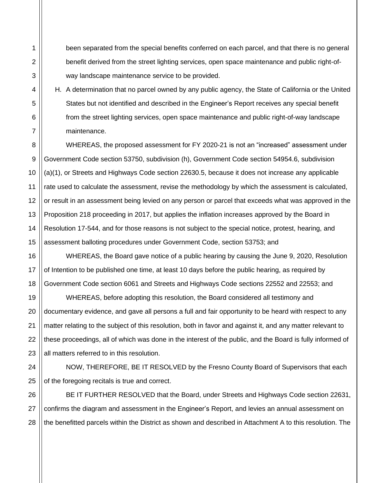been separated from the special benefits conferred on each parcel, and that there is no general benefit derived from the street lighting services, open space maintenance and public right-ofway landscape maintenance service to be provided.

H. A determination that no parcel owned by any public agency, the State of California or the United States but not identified and described in the Engineer's Report receives any special benefit from the street lighting services, open space maintenance and public right-of-way landscape maintenance.

WHEREAS, the proposed assessment for FY 2020-21 is not an "increased" assessment under Government Code section 53750, subdivision (h), Government Code section 54954.6, subdivision (a)(1), or Streets and Highways Code section 22630.5, because it does not increase any applicable rate used to calculate the assessment, revise the methodology by which the assessment is calculated, or result in an assessment being levied on any person or parcel that exceeds what was approved in the Proposition 218 proceeding in 2017, but applies the inflation increases approved by the Board in Resolution 17-544, and for those reasons is not subject to the special notice, protest, hearing, and assessment balloting procedures under Government Code, section 53753; and

WHEREAS, the Board gave notice of a public hearing by causing the June 9, 2020, Resolution of Intention to be published one time, at least 10 days before the public hearing, as required by Government Code section 6061 and Streets and Highways Code sections 22552 and 22553; and

WHEREAS, before adopting this resolution, the Board considered all testimony and documentary evidence, and gave all persons a full and fair opportunity to be heard with respect to any matter relating to the subject of this resolution, both in favor and against it, and any matter relevant to these proceedings, all of which was done in the interest of the public, and the Board is fully informed of all matters referred to in this resolution.

NOW, THEREFORE, BE IT RESOLVED by the Fresno County Board of Supervisors that each of the foregoing recitals is true and correct.

BE IT FURTHER RESOLVED that the Board, under Streets and Highways Code section 22631, confirms the diagram and assessment in the Engineer's Report, and levies an annual assessment on the benefitted parcels within the District as shown and described in Attachment A to this resolution. The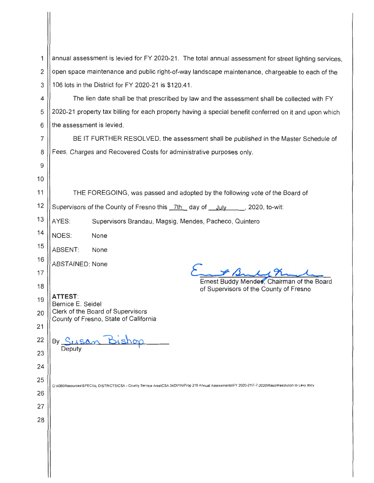|                                                                                     | annual assessment is levied for FY 2020-21. The total annual assessment for street lighting services,<br>open space maintenance and public right-of-way landscape maintenance, chargeable to each of the                                     |  |  |  |  |  |
|-------------------------------------------------------------------------------------|----------------------------------------------------------------------------------------------------------------------------------------------------------------------------------------------------------------------------------------------|--|--|--|--|--|
|                                                                                     |                                                                                                                                                                                                                                              |  |  |  |  |  |
|                                                                                     | The lien date shall be that prescribed by law and the assessment shall be collected with FY                                                                                                                                                  |  |  |  |  |  |
|                                                                                     | 2020-21 property tax billing for each property having a special benefit conferred on it and upon which                                                                                                                                       |  |  |  |  |  |
|                                                                                     |                                                                                                                                                                                                                                              |  |  |  |  |  |
|                                                                                     | BE IT FURTHER RESOLVED, the assessment shall be published in the Master Schedule of                                                                                                                                                          |  |  |  |  |  |
|                                                                                     |                                                                                                                                                                                                                                              |  |  |  |  |  |
|                                                                                     |                                                                                                                                                                                                                                              |  |  |  |  |  |
| 10                                                                                  |                                                                                                                                                                                                                                              |  |  |  |  |  |
| 11                                                                                  | THE FOREGOING, was passed and adopted by the following vote of the Board of                                                                                                                                                                  |  |  |  |  |  |
| 12                                                                                  | Supervisors of the County of Fresno this _7th _ day of _July _____, 2020, to-wit:                                                                                                                                                            |  |  |  |  |  |
| 13<br>AYES:                                                                         | Supervisors Brandau, Magsig, Mendes, Pacheco, Quintero                                                                                                                                                                                       |  |  |  |  |  |
| 14<br>NOES:<br>None                                                                 |                                                                                                                                                                                                                                              |  |  |  |  |  |
| 15<br>ABSENT:<br>None                                                               |                                                                                                                                                                                                                                              |  |  |  |  |  |
| 16<br><b>ABSTAINED: None</b>                                                        |                                                                                                                                                                                                                                              |  |  |  |  |  |
| 17                                                                                  | Ernest Buddy Mendes, Chairman of the Board                                                                                                                                                                                                   |  |  |  |  |  |
| 18                                                                                  | of Supervisors of the County of Fresno                                                                                                                                                                                                       |  |  |  |  |  |
| 19<br>Bernice E. Seidel                                                             |                                                                                                                                                                                                                                              |  |  |  |  |  |
| 20<br>County of Fresno, State of California                                         |                                                                                                                                                                                                                                              |  |  |  |  |  |
| 21                                                                                  |                                                                                                                                                                                                                                              |  |  |  |  |  |
|                                                                                     |                                                                                                                                                                                                                                              |  |  |  |  |  |
|                                                                                     |                                                                                                                                                                                                                                              |  |  |  |  |  |
|                                                                                     |                                                                                                                                                                                                                                              |  |  |  |  |  |
|                                                                                     | G:\4360Resources\SPECIAL DISTRICTS\CSA - County Service Area\CSA 34D\FIN\Prop 218 Annual Assessments\FY 2020-21\7-7-2020\Reso\Resolution to Levy.docx                                                                                        |  |  |  |  |  |
|                                                                                     |                                                                                                                                                                                                                                              |  |  |  |  |  |
|                                                                                     |                                                                                                                                                                                                                                              |  |  |  |  |  |
|                                                                                     |                                                                                                                                                                                                                                              |  |  |  |  |  |
|                                                                                     |                                                                                                                                                                                                                                              |  |  |  |  |  |
|                                                                                     |                                                                                                                                                                                                                                              |  |  |  |  |  |
|                                                                                     |                                                                                                                                                                                                                                              |  |  |  |  |  |
| 1<br>2<br>3<br>4<br>5<br>6<br>7<br>8<br>9<br>22<br>23<br>24<br>25<br>26<br>27<br>28 | 106 lots in the District for FY 2020-21 is \$120.41.<br>the assessment is levied.<br>Fees, Charges and Recovered Costs for administrative purposes only.<br><b>ATTEST:</b><br>Clerk of the Board of Supervisors<br>By Susan Bishop<br>Deputy |  |  |  |  |  |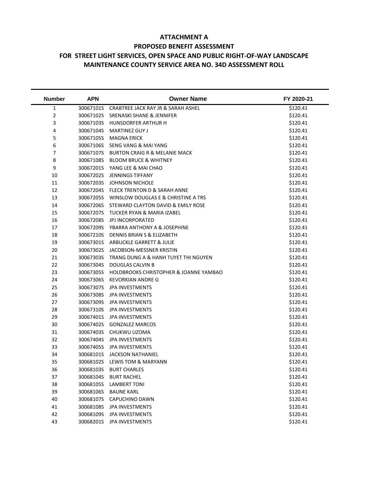## **ATTACHMENT A PROPOSED BENEFIT ASSESSMENT FOR STREET LIGHT SERVICES, OPEN SPACE AND PUBLIC RIGHT-OF-WAY LANDSCAPE MAINTENANCE COUNTY SERVICE AREA NO. 34D ASSESSMENT ROLL**

| <b>Number</b>  | <b>APN</b> | <b>Owner Name</b>                        | FY 2020-21 |
|----------------|------------|------------------------------------------|------------|
| $\mathbf{1}$   | 30067101S  | CRABTREE JACK RAY JR & SARAH ASHEL       | \$120.41   |
| $\overline{2}$ | 30067102S  | <b>SRENASKI SHANE &amp; JENNIFER</b>     | \$120.41   |
| 3              | 30067103S  | HUNSDORFER ARTHUR H                      | \$120.41   |
| 4              | 30067104S  | <b>MARTINEZ GUY J</b>                    | \$120.41   |
| 5              | 30067105S  | <b>MAGNA ERICK</b>                       | \$120.41   |
| 6              | 30067106S  | SENG VANG & MAI YANG                     | \$120.41   |
| 7              | 30067107S  | <b>BURTON CRAIG R &amp; MELANIE MACK</b> | \$120.41   |
| 8              | 30067108S  | <b>BLOOM BRUCE &amp; WHITNEY</b>         | \$120.41   |
| 9              | 30067201S  | YANG LEE & MAI CHAO                      | \$120.41   |
| 10             | 30067202S  | <b>JENNINGS TIFFANY</b>                  | \$120.41   |
| 11             | 30067203S  | <b>JOHNSON NICHOLE</b>                   | \$120.41   |
| 12             | 30067204S  | FLECK TRENTON D & SARAH ANNE             | \$120.41   |
| 13             | 30067205S  | WINSLOW DOUGLAS E & CHRISTINE A TRS      | \$120.41   |
| 14             | 30067206S  | STEWARD CLAYTON DAVID & EMILY ROSE       | \$120.41   |
| 15             | 30067207S  | <b>TUCKER RYAN &amp; MARIA IZABEL</b>    | \$120.41   |
| 16             | 30067208S  | <b>JPJ INCORPORATED</b>                  | \$120.41   |
| 17             | 30067209S  | YBARRA ANTHONY A & JOSEPHINE             | \$120.41   |
| 18             | 30067210S  | DENNIS BRIAN S & ELIZABETH               | \$120.41   |
| 19             | 30067301S  | ARBUCKLE GARRETT & JULIE                 | \$120.41   |
| 20             | 30067302S  | JACOBSON-MESSNER KRISTIN                 | \$120.41   |
| 21             | 30067303S  | TRANG DUNG A & HANH TUYET THI NGUYEN     | \$120.41   |
| 22             | 30067304S  | DOUGLAS CALVIN B                         | \$120.41   |
| 23             | 30067305S  | HOLDBROOKS CHRISTOPHER & JOANNE YAMBAO   | \$120.41   |
| 24             | 30067306S  | <b>KEVORKIAN ANDRE G</b>                 | \$120.41   |
| 25             | 30067307S  | <b>JPA INVESTMENTS</b>                   | \$120.41   |
| 26             | 30067308S  | JPA INVESTMENTS                          | \$120.41   |
| 27             | 30067309S  | JPA INVESTMENTS                          | \$120.41   |
| 28             | 30067310S  | JPA INVESTMENTS                          | \$120.41   |
| 29             | 30067401S  | <b>JPA INVESTMENTS</b>                   | \$120.41   |
| 30             | 30067402S  | <b>GONZALEZ MARCOS</b>                   | \$120.41   |
| 31             | 30067403S  | CHUKWU UZOMA                             | \$120.41   |
| 32             | 30067404S  | JPA INVESTMENTS                          | \$120.41   |
| 33             | 30067405S  | <b>JPA INVESTMENTS</b>                   | \$120.41   |
| 34             | 30068101S  | <b>JACKSON NATHANIEL</b>                 | \$120.41   |
| 35             | 30068102S  | LEWIS TOM & MARYANN                      | \$120.41   |
| 36             | 30068103S  | <b>BURT CHARLES</b>                      | \$120.41   |
| 37             | 30068104S  | <b>BURT RACHEL</b>                       | \$120.41   |
| 38             | 30068105S  | <b>LAMBERT TONI</b>                      | \$120.41   |
| 39             | 30068106S  | <b>BAUNE KARL</b>                        | \$120.41   |
| 40             | 30068107S  | CAPUCHINO DAWN                           | \$120.41   |
| 41             | 30068108S  | <b>JPA INVESTMENTS</b>                   | \$120.41   |
| 42             | 30068109S  | <b>JPA INVESTMENTS</b>                   | \$120.41   |
| 43             | 30068201S  | <b>JPA INVESTMENTS</b>                   | \$120.41   |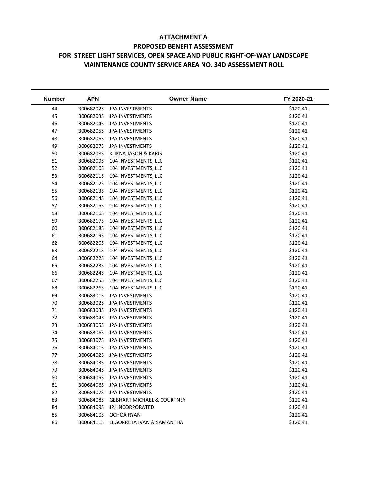## **ATTACHMENT A PROPOSED BENEFIT ASSESSMENT FOR STREET LIGHT SERVICES, OPEN SPACE AND PUBLIC RIGHT-OF-WAY LANDSCAPE MAINTENANCE COUNTY SERVICE AREA NO. 34D ASSESSMENT ROLL**

| <b>Number</b> | <b>APN</b> | <b>Owner Name</b>                     | FY 2020-21 |
|---------------|------------|---------------------------------------|------------|
| 44            | 30068202S  | JPA INVESTMENTS                       | \$120.41   |
| 45            | 30068203S  | JPA INVESTMENTS                       | \$120.41   |
| 46            | 30068204S  | <b>JPA INVESTMENTS</b>                | \$120.41   |
| 47            | 30068205S  | JPA INVESTMENTS                       | \$120.41   |
| 48            | 30068206S  | JPA INVESTMENTS                       | \$120.41   |
| 49            | 30068207S  | JPA INVESTMENTS                       | \$120.41   |
| 50            | 30068208S  | KLIKNA JASON & KARIS                  | \$120.41   |
| 51            | 30068209S  | 104 INVESTMENTS, LLC                  | \$120.41   |
| 52            | 30068210S  | 104 INVESTMENTS, LLC                  | \$120.41   |
| 53            | 30068211S  | 104 INVESTMENTS, LLC                  | \$120.41   |
| 54            | 30068212S  | 104 INVESTMENTS, LLC                  | \$120.41   |
| 55            | 30068213S  | 104 INVESTMENTS, LLC                  | \$120.41   |
| 56            | 30068214S  | 104 INVESTMENTS, LLC                  | \$120.41   |
| 57            | 30068215S  | 104 INVESTMENTS, LLC                  | \$120.41   |
| 58            | 30068216S  | 104 INVESTMENTS, LLC                  | \$120.41   |
| 59            | 30068217S  | 104 INVESTMENTS, LLC                  | \$120.41   |
| 60            | 30068218S  | 104 INVESTMENTS, LLC                  | \$120.41   |
| 61            | 30068219S  | 104 INVESTMENTS, LLC                  | \$120.41   |
| 62            | 30068220S  | 104 INVESTMENTS, LLC                  | \$120.41   |
| 63            | 30068221S  | 104 INVESTMENTS, LLC                  | \$120.41   |
| 64            | 30068222S  | 104 INVESTMENTS, LLC                  | \$120.41   |
| 65            | 30068223S  | 104 INVESTMENTS, LLC                  | \$120.41   |
| 66            | 30068224S  | 104 INVESTMENTS, LLC                  | \$120.41   |
| 67            | 30068225S  | 104 INVESTMENTS, LLC                  | \$120.41   |
| 68            | 30068226S  | 104 INVESTMENTS, LLC                  | \$120.41   |
| 69            | 30068301S  | <b>JPA INVESTMENTS</b>                | \$120.41   |
| 70            | 30068302S  | JPA INVESTMENTS                       | \$120.41   |
| 71            | 30068303S  | JPA INVESTMENTS                       | \$120.41   |
| 72            | 30068304S  | JPA INVESTMENTS                       | \$120.41   |
| 73            | 30068305S  | JPA INVESTMENTS                       | \$120.41   |
| 74            | 30068306S  | JPA INVESTMENTS                       | \$120.41   |
| 75            | 30068307S  | JPA INVESTMENTS                       | \$120.41   |
| 76            | 30068401S  | JPA INVESTMENTS                       | \$120.41   |
| 77            | 30068402S  | <b>JPA INVESTMENTS</b>                | \$120.41   |
| 78            | 30068403S  | <b>JPA INVESTMENTS</b>                | \$120.41   |
| 79            | 30068404S  | JPA INVESTMENTS                       | \$120.41   |
| 80            | 30068405S  | JPA INVESTMENTS                       | \$120.41   |
| 81            | 30068406S  | JPA INVESTMENTS                       | \$120.41   |
| 82            | 30068407S  | <b>JPA INVESTMENTS</b>                | \$120.41   |
| 83            | 30068408S  | <b>GEBHART MICHAEL &amp; COURTNEY</b> | \$120.41   |
| 84            | 30068409S  | <b>JPJ INCORPORATED</b>               | \$120.41   |
| 85            | 30068410S  | <b>OCHOA RYAN</b>                     | \$120.41   |
| 86            | 30068411S  | LEGORRETA IVAN & SAMANTHA             | \$120.41   |